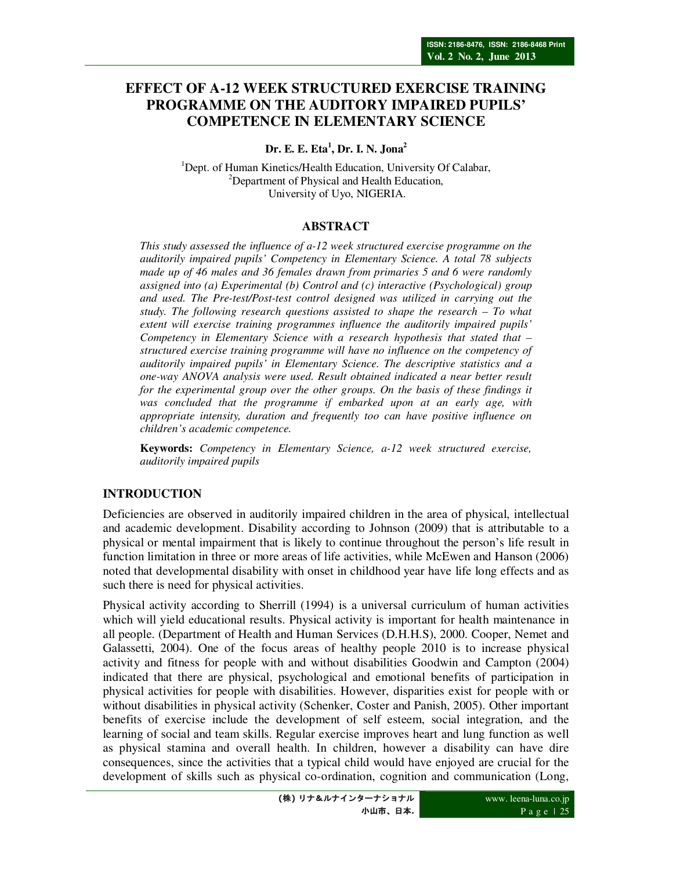# **EFFECT OF A-12 WEEK STRUCTURED EXERCISE TRAINING PROGRAMME ON THE AUDITORY IMPAIRED PUPILS' COMPETENCE IN ELEMENTARY SCIENCE**

**Dr. E. E. Eta<sup>1</sup> , Dr. I. N. Jona<sup>2</sup>**

<sup>1</sup>Dept. of Human Kinetics/Health Education, University Of Calabar, <sup>2</sup>Department of Physical and Health Education, University of Uyo, NIGERIA.

### **ABSTRACT**

*This study assessed the influence of a-12 week structured exercise programme on the auditorily impaired pupils' Competency in Elementary Science. A total 78 subjects made up of 46 males and 36 females drawn from primaries 5 and 6 were randomly assigned into (a) Experimental (b) Control and (c) interactive (Psychological) group and used. The Pre-test/Post-test control designed was utilized in carrying out the study. The following research questions assisted to shape the research – To what extent will exercise training programmes influence the auditorily impaired pupils' Competency in Elementary Science with a research hypothesis that stated that – structured exercise training programme will have no influence on the competency of auditorily impaired pupils' in Elementary Science. The descriptive statistics and a one-way ANOVA analysis were used. Result obtained indicated a near better result for the experimental group over the other groups. On the basis of these findings it was concluded that the programme if embarked upon at an early age, with appropriate intensity, duration and frequently too can have positive influence on children's academic competence.* 

**Keywords:** *Competency in Elementary Science, a-12 week structured exercise, auditorily impaired pupils*

# **INTRODUCTION**

Deficiencies are observed in auditorily impaired children in the area of physical, intellectual and academic development. Disability according to Johnson (2009) that is attributable to a physical or mental impairment that is likely to continue throughout the person's life result in function limitation in three or more areas of life activities, while McEwen and Hanson (2006) noted that developmental disability with onset in childhood year have life long effects and as such there is need for physical activities.

Physical activity according to Sherrill (1994) is a universal curriculum of human activities which will yield educational results. Physical activity is important for health maintenance in all people. (Department of Health and Human Services (D.H.H.S), 2000. Cooper, Nemet and Galassetti, 2004). One of the focus areas of healthy people 2010 is to increase physical activity and fitness for people with and without disabilities Goodwin and Campton (2004) indicated that there are physical, psychological and emotional benefits of participation in physical activities for people with disabilities. However, disparities exist for people with or without disabilities in physical activity (Schenker, Coster and Panish, 2005). Other important benefits of exercise include the development of self esteem, social integration, and the learning of social and team skills. Regular exercise improves heart and lung function as well as physical stamina and overall health. In children, however a disability can have dire consequences, since the activities that a typical child would have enjoyed are crucial for the development of skills such as physical co-ordination, cognition and communication (Long,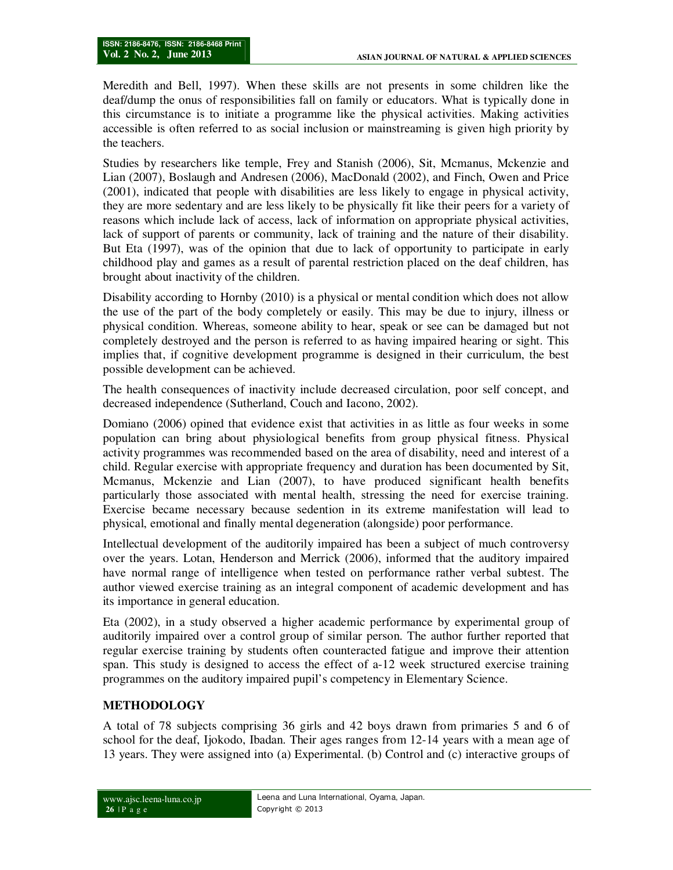Meredith and Bell, 1997). When these skills are not presents in some children like the deaf/dump the onus of responsibilities fall on family or educators. What is typically done in this circumstance is to initiate a programme like the physical activities. Making activities accessible is often referred to as social inclusion or mainstreaming is given high priority by the teachers.

Studies by researchers like temple, Frey and Stanish (2006), Sit, Mcmanus, Mckenzie and Lian (2007), Boslaugh and Andresen (2006), MacDonald (2002), and Finch, Owen and Price (2001), indicated that people with disabilities are less likely to engage in physical activity, they are more sedentary and are less likely to be physically fit like their peers for a variety of reasons which include lack of access, lack of information on appropriate physical activities, lack of support of parents or community, lack of training and the nature of their disability. But Eta (1997), was of the opinion that due to lack of opportunity to participate in early childhood play and games as a result of parental restriction placed on the deaf children, has brought about inactivity of the children.

Disability according to Hornby (2010) is a physical or mental condition which does not allow the use of the part of the body completely or easily. This may be due to injury, illness or physical condition. Whereas, someone ability to hear, speak or see can be damaged but not completely destroyed and the person is referred to as having impaired hearing or sight. This implies that, if cognitive development programme is designed in their curriculum, the best possible development can be achieved.

The health consequences of inactivity include decreased circulation, poor self concept, and decreased independence (Sutherland, Couch and Iacono, 2002).

Domiano (2006) opined that evidence exist that activities in as little as four weeks in some population can bring about physiological benefits from group physical fitness. Physical activity programmes was recommended based on the area of disability, need and interest of a child. Regular exercise with appropriate frequency and duration has been documented by Sit, Mcmanus, Mckenzie and Lian (2007), to have produced significant health benefits particularly those associated with mental health, stressing the need for exercise training. Exercise became necessary because sedention in its extreme manifestation will lead to physical, emotional and finally mental degeneration (alongside) poor performance.

Intellectual development of the auditorily impaired has been a subject of much controversy over the years. Lotan, Henderson and Merrick (2006), informed that the auditory impaired have normal range of intelligence when tested on performance rather verbal subtest. The author viewed exercise training as an integral component of academic development and has its importance in general education.

Eta (2002), in a study observed a higher academic performance by experimental group of auditorily impaired over a control group of similar person. The author further reported that regular exercise training by students often counteracted fatigue and improve their attention span. This study is designed to access the effect of a-12 week structured exercise training programmes on the auditory impaired pupil's competency in Elementary Science.

# **METHODOLOGY**

A total of 78 subjects comprising 36 girls and 42 boys drawn from primaries 5 and 6 of school for the deaf, Ijokodo, Ibadan. Their ages ranges from 12-14 years with a mean age of 13 years. They were assigned into (a) Experimental. (b) Control and (c) interactive groups of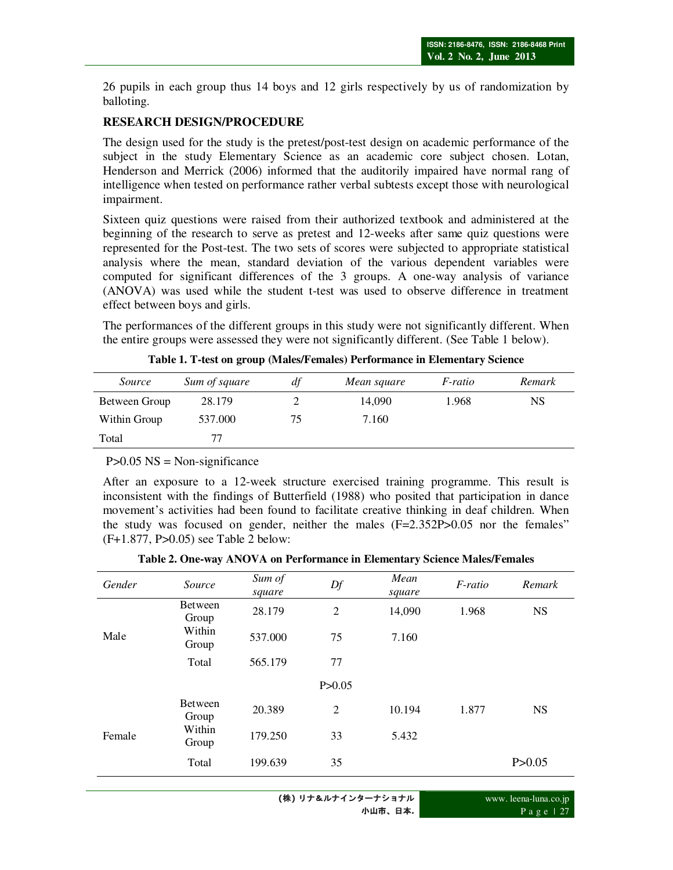26 pupils in each group thus 14 boys and 12 girls respectively by us of randomization by balloting.

## **RESEARCH DESIGN/PROCEDURE**

The design used for the study is the pretest/post-test design on academic performance of the subject in the study Elementary Science as an academic core subject chosen. Lotan, Henderson and Merrick (2006) informed that the auditorily impaired have normal rang of intelligence when tested on performance rather verbal subtests except those with neurological impairment.

Sixteen quiz questions were raised from their authorized textbook and administered at the beginning of the research to serve as pretest and 12-weeks after same quiz questions were represented for the Post-test. The two sets of scores were subjected to appropriate statistical analysis where the mean, standard deviation of the various dependent variables were computed for significant differences of the 3 groups. A one-way analysis of variance (ANOVA) was used while the student t-test was used to observe difference in treatment effect between boys and girls.

The performances of the different groups in this study were not significantly different. When the entire groups were assessed they were not significantly different. (See Table 1 below).

| Source        | Sum of square | df | Mean square | <i>F-ratio</i> | Remark |
|---------------|---------------|----|-------------|----------------|--------|
| Between Group | 28.179        |    | 14.090      | 1.968          | NS     |
| Within Group  | 537.000       | 75 | 7.160       |                |        |
| Total         |               |    |             |                |        |

**Table 1. T-test on group (Males/Females) Performance in Elementary Science** 

 $P>0.05$  NS = Non-significance

After an exposure to a 12-week structure exercised training programme. This result is inconsistent with the findings of Butterfield (1988) who posited that participation in dance movement's activities had been found to facilitate creative thinking in deaf children. When the study was focused on gender, neither the males (F=2.352P>0.05 nor the females" (F+1.877, P>0.05) see Table 2 below:

**Table 2. One-way ANOVA on Performance in Elementary Science Males/Females**

| Gender | Source           | Sum of<br>square | Df             | Mean<br>square | F-ratio | Remark    |
|--------|------------------|------------------|----------------|----------------|---------|-----------|
| Male   | Between<br>Group | 28.179           | $\overline{2}$ | 14,090         | 1.968   | <b>NS</b> |
|        | Within<br>Group  | 537.000          | 75             | 7.160          |         |           |
|        | Total            | 565.179          | 77             |                |         |           |
|        |                  |                  | P > 0.05       |                |         |           |
| Female | Between<br>Group | 20.389           | $\overline{c}$ | 10.194         | 1.877   | <b>NS</b> |
|        | Within<br>Group  | 179.250          | 33             | 5.432          |         |           |
|        | Total            | 199.639          | 35             |                |         | P > 0.05  |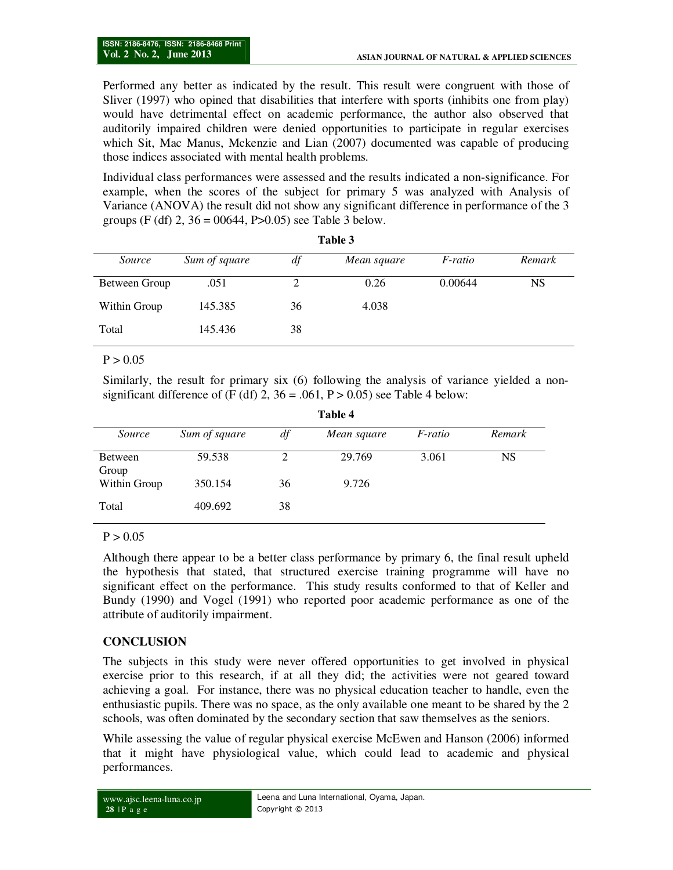Performed any better as indicated by the result. This result were congruent with those of Sliver (1997) who opined that disabilities that interfere with sports (inhibits one from play) would have detrimental effect on academic performance, the author also observed that auditorily impaired children were denied opportunities to participate in regular exercises which Sit, Mac Manus, Mckenzie and Lian (2007) documented was capable of producing those indices associated with mental health problems.

Individual class performances were assessed and the results indicated a non-significance. For example, when the scores of the subject for primary 5 was analyzed with Analysis of Variance (ANOVA) the result did not show any significant difference in performance of the 3 groups (F (df) 2,  $36 = 00644$ , P $> 0.05$ ) see Table 3 below.

| raviv J       |               |    |             |         |           |  |
|---------------|---------------|----|-------------|---------|-----------|--|
| Source        | Sum of square | df | Mean square | F-ratio | Remark    |  |
| Between Group | .051          |    | 0.26        | 0.00644 | <b>NS</b> |  |
| Within Group  | 145.385       | 36 | 4.038       |         |           |  |
| Total         | 145.436       | 38 |             |         |           |  |
|               |               |    |             |         |           |  |

**Table 3** 

#### $P > 0.05$

Similarly, the result for primary six (6) following the analysis of variance yielded a nonsignificant difference of (F (df) 2,  $36 = .061$ , P > 0.05) see Table 4 below: **Table 4** 

| Table 4                 |               |    |             |                |           |
|-------------------------|---------------|----|-------------|----------------|-----------|
| Source                  | Sum of square | df | Mean square | <i>F-ratio</i> | Remark    |
| <b>Between</b><br>Group | 59.538        |    | 29.769      | 3.061          | <b>NS</b> |
| Within Group            | 350.154       | 36 | 9.726       |                |           |
| Total                   | 409.692       | 38 |             |                |           |

 $P > 0.05$ 

Although there appear to be a better class performance by primary 6, the final result upheld the hypothesis that stated, that structured exercise training programme will have no significant effect on the performance. This study results conformed to that of Keller and Bundy (1990) and Vogel (1991) who reported poor academic performance as one of the attribute of auditorily impairment.

### **CONCLUSION**

The subjects in this study were never offered opportunities to get involved in physical exercise prior to this research, if at all they did; the activities were not geared toward achieving a goal. For instance, there was no physical education teacher to handle, even the enthusiastic pupils. There was no space, as the only available one meant to be shared by the 2 schools, was often dominated by the secondary section that saw themselves as the seniors.

While assessing the value of regular physical exercise McEwen and Hanson (2006) informed that it might have physiological value, which could lead to academic and physical performances.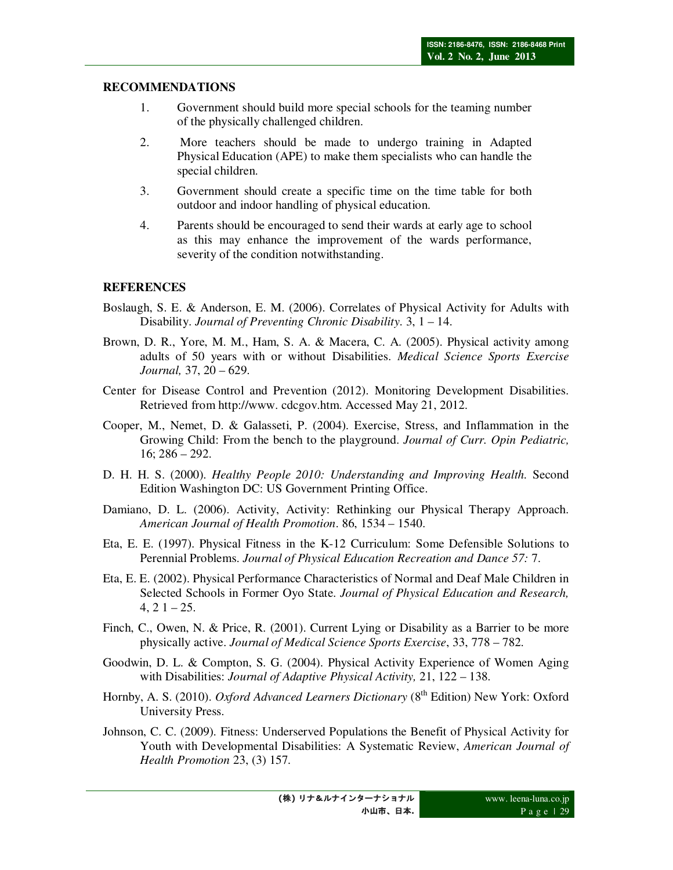## **RECOMMENDATIONS**

- 1. Government should build more special schools for the teaming number of the physically challenged children.
- 2. More teachers should be made to undergo training in Adapted Physical Education (APE) to make them specialists who can handle the special children.
- 3. Government should create a specific time on the time table for both outdoor and indoor handling of physical education.
- 4. Parents should be encouraged to send their wards at early age to school as this may enhance the improvement of the wards performance, severity of the condition notwithstanding.

# **REFERENCES**

- Boslaugh, S. E. & Anderson, E. M. (2006). Correlates of Physical Activity for Adults with Disability. *Journal of Preventing Chronic Disability*. 3, 1 – 14.
- Brown, D. R., Yore, M. M., Ham, S. A. & Macera, C. A. (2005). Physical activity among adults of 50 years with or without Disabilities. *Medical Science Sports Exercise Journal,* 37, 20 – 629.
- Center for Disease Control and Prevention (2012). Monitoring Development Disabilities. Retrieved from http://www. cdcgov.htm. Accessed May 21, 2012.
- Cooper, M., Nemet, D. & Galasseti, P. (2004). Exercise, Stress, and Inflammation in the Growing Child: From the bench to the playground. *Journal of Curr. Opin Pediatric,* 16; 286 – 292.
- D. H. H. S. (2000). *Healthy People 2010: Understanding and Improving Health.* Second Edition Washington DC: US Government Printing Office.
- Damiano, D. L. (2006). Activity, Activity: Rethinking our Physical Therapy Approach. *American Journal of Health Promotion*. 86, 1534 – 1540.
- Eta, E. E. (1997). Physical Fitness in the K-12 Curriculum: Some Defensible Solutions to Perennial Problems. *Journal of Physical Education Recreation and Dance 57:* 7.
- Eta, E. E. (2002). Physical Performance Characteristics of Normal and Deaf Male Children in Selected Schools in Former Oyo State. *Journal of Physical Education and Research,*   $4, 21 - 25.$
- Finch, C., Owen, N. & Price, R. (2001). Current Lying or Disability as a Barrier to be more physically active. *Journal of Medical Science Sports Exercise*, 33, 778 – 782.
- Goodwin, D. L. & Compton, S. G. (2004). Physical Activity Experience of Women Aging with Disabilities: *Journal of Adaptive Physical Activity,* 21, 122 – 138.
- Hornby, A. S. (2010). *Oxford Advanced Learners Dictionary* (8<sup>th</sup> Edition) New York: Oxford University Press.
- Johnson, C. C. (2009). Fitness: Underserved Populations the Benefit of Physical Activity for Youth with Developmental Disabilities: A Systematic Review, *American Journal of Health Promotion* 23, (3) 157.